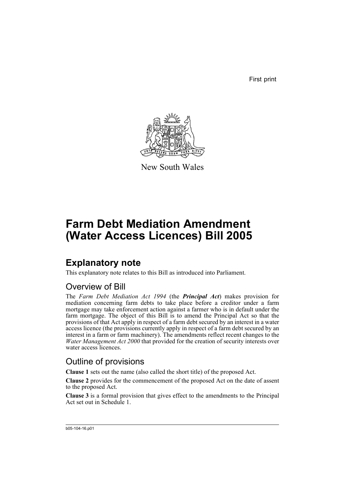First print



New South Wales

# **Farm Debt Mediation Amendment (Water Access Licences) Bill 2005**

## **Explanatory note**

This explanatory note relates to this Bill as introduced into Parliament.

## Overview of Bill

The *Farm Debt Mediation Act 1994* (the *Principal Act*) makes provision for mediation concerning farm debts to take place before a creditor under a farm mortgage may take enforcement action against a farmer who is in default under the farm mortgage. The object of this Bill is to amend the Principal Act so that the provisions of that Act apply in respect of a farm debt secured by an interest in a water access licence (the provisions currently apply in respect of a farm debt secured by an interest in a farm or farm machinery). The amendments reflect recent changes to the *Water Management Act 2000* that provided for the creation of security interests over water access licences.

## Outline of provisions

**Clause 1** sets out the name (also called the short title) of the proposed Act.

**Clause 2** provides for the commencement of the proposed Act on the date of assent to the proposed Act.

**Clause 3** is a formal provision that gives effect to the amendments to the Principal Act set out in Schedule 1.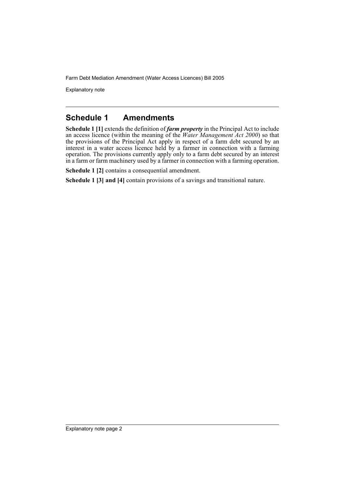Explanatory note

#### **Schedule 1 Amendments**

**Schedule 1 [1]** extends the definition of *farm property* in the Principal Act to include an access licence (within the meaning of the *Water Management Act 2000*) so that the provisions of the Principal Act apply in respect of a farm debt secured by an interest in a water access licence held by a farmer in connection with a farming operation. The provisions currently apply only to a farm debt secured by an interest in a farm or farm machinery used by a farmer in connection with a farming operation.

**Schedule 1 [2]** contains a consequential amendment.

**Schedule 1 [3] and [4]** contain provisions of a savings and transitional nature.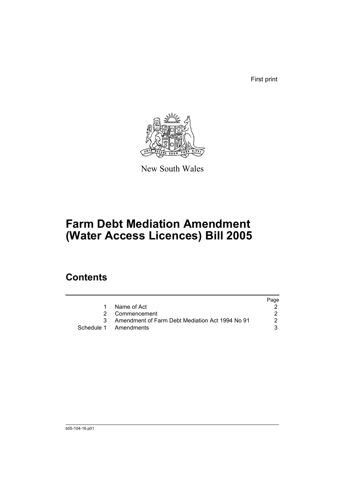First print



New South Wales

# **Farm Debt Mediation Amendment (Water Access Licences) Bill 2005**

## **Contents**

|                                                   | Page |
|---------------------------------------------------|------|
| Name of Act                                       |      |
| 2 Commencement                                    |      |
| 3 Amendment of Farm Debt Mediation Act 1994 No 91 | 2    |
| Schedule 1 Amendments                             |      |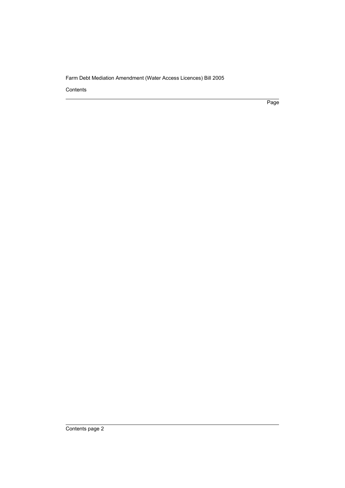Contents

Page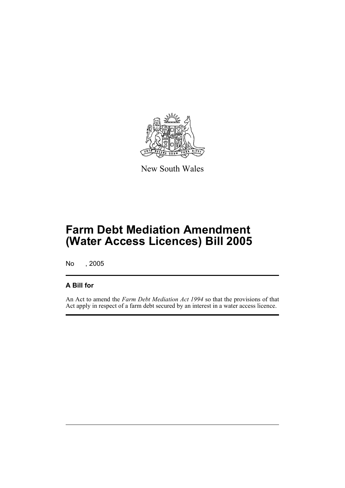

New South Wales

# **Farm Debt Mediation Amendment (Water Access Licences) Bill 2005**

No , 2005

#### **A Bill for**

An Act to amend the *Farm Debt Mediation Act 1994* so that the provisions of that Act apply in respect of a farm debt secured by an interest in a water access licence.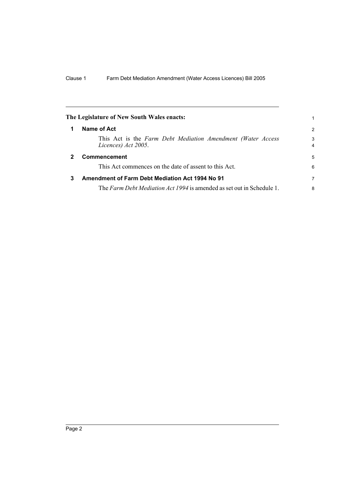<span id="page-5-2"></span><span id="page-5-1"></span><span id="page-5-0"></span>

|              | The Legislature of New South Wales enacts:                                         |                     |  |
|--------------|------------------------------------------------------------------------------------|---------------------|--|
| 1            | Name of Act                                                                        | 2                   |  |
|              | This Act is the Farm Debt Mediation Amendment (Water Access<br>Licences) Act 2005. | 3<br>$\overline{4}$ |  |
| $\mathbf{2}$ | Commencement                                                                       |                     |  |
|              | This Act commences on the date of assent to this Act.                              | 6                   |  |
| 3            | <b>Amendment of Farm Debt Mediation Act 1994 No 91</b>                             |                     |  |
|              | The Farm Debt Mediation Act 1994 is amended as set out in Schedule 1.              | 8                   |  |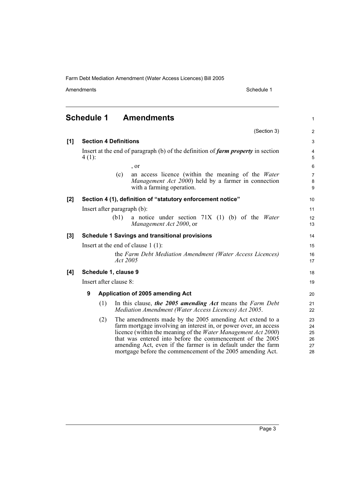| Amendments |
|------------|
|------------|

(Section 3)

1

2

# <span id="page-6-0"></span>**Schedule 1 Amendments**

| [1] | <b>Section 4 Definitions</b><br>Insert at the end of paragraph (b) of the definition of farm property in section<br>$4(1)$ : |                      |          |                                                                                                                                                                                                                                                                                                                                                                                           | 3                                |
|-----|------------------------------------------------------------------------------------------------------------------------------|----------------------|----------|-------------------------------------------------------------------------------------------------------------------------------------------------------------------------------------------------------------------------------------------------------------------------------------------------------------------------------------------------------------------------------------------|----------------------------------|
|     |                                                                                                                              |                      |          |                                                                                                                                                                                                                                                                                                                                                                                           | 4<br>5                           |
|     |                                                                                                                              |                      |          | , or                                                                                                                                                                                                                                                                                                                                                                                      | 6                                |
|     |                                                                                                                              |                      | (c)      | an access licence (within the meaning of the Water<br><i>Management Act 2000</i> ) held by a farmer in connection<br>with a farming operation.                                                                                                                                                                                                                                            | $\overline{7}$<br>8<br>9         |
| [2] |                                                                                                                              |                      |          | Section 4 (1), definition of "statutory enforcement notice"                                                                                                                                                                                                                                                                                                                               | 10 <sup>1</sup>                  |
|     | Insert after paragraph (b):                                                                                                  |                      |          |                                                                                                                                                                                                                                                                                                                                                                                           | 11                               |
|     |                                                                                                                              |                      | (b1)     | a notice under section $71X(1)$ (b) of the <i>Water</i><br>Management Act 2000, or                                                                                                                                                                                                                                                                                                        | 12<br>13                         |
| [3] |                                                                                                                              |                      |          | <b>Schedule 1 Savings and transitional provisions</b>                                                                                                                                                                                                                                                                                                                                     | 14                               |
|     | Insert at the end of clause $1(1)$ :                                                                                         |                      |          |                                                                                                                                                                                                                                                                                                                                                                                           |                                  |
|     |                                                                                                                              |                      | Act 2005 | the Farm Debt Mediation Amendment (Water Access Licences)                                                                                                                                                                                                                                                                                                                                 | 16<br>17                         |
| [4] |                                                                                                                              | Schedule 1, clause 9 |          |                                                                                                                                                                                                                                                                                                                                                                                           | 18                               |
|     | Insert after clause 8:                                                                                                       |                      |          |                                                                                                                                                                                                                                                                                                                                                                                           | 19                               |
|     | $\boldsymbol{9}$                                                                                                             |                      |          | Application of 2005 amending Act                                                                                                                                                                                                                                                                                                                                                          | 20                               |
|     |                                                                                                                              | (1)                  |          | In this clause, the 2005 amending Act means the Farm Debt<br>Mediation Amendment (Water Access Licences) Act 2005.                                                                                                                                                                                                                                                                        | 21<br>22                         |
|     |                                                                                                                              | (2)                  |          | The amendments made by the 2005 amending Act extend to a<br>farm mortgage involving an interest in, or power over, an access<br>licence (within the meaning of the Water Management Act 2000)<br>that was entered into before the commencement of the 2005<br>amending Act, even if the farmer is in default under the farm<br>mortgage before the commencement of the 2005 amending Act. | 23<br>24<br>25<br>26<br>27<br>28 |